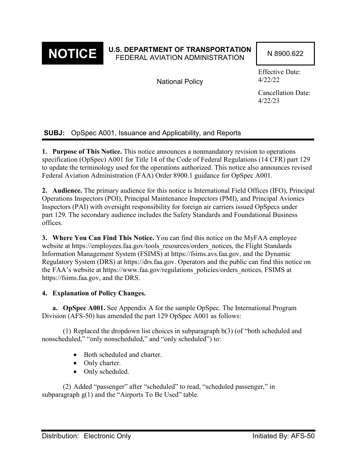

# **NOTICE** U.S. DEPARTMENT OF TRANSPORTATION N 8900.622

National Policy

Effective Date: 4/22/22

Cancellation Date: 4/22/23

## **SUBJ:** OpSpec A001, Issuance and Applicability, and Reports

**1. Purpose of This Notice.** This notice announces a nonmandatory revision to operations specification (OpSpec) A001 for Title 14 of the Code of Federal Regulations (14 CFR) part 129 to update the terminology used for the operations authorized. This notice also announces revised Federal Aviation Administration (FAA) Order 8900.1 guidance for OpSpec A001.

**2. Audience.** The primary audience for this notice is International Field Offices (IFO), Principal Operations Inspectors (POI), Principal Maintenance Inspectors (PMI), and Principal Avionics Inspectors (PAI) with oversight responsibility for foreign air carriers issued OpSpecs under part 129. The secondary audience includes the Safety Standards and Foundational Business offices.

**3. Where You Can Find This Notice.** You can find this notice on the MyFAA employee website at https://employees.faa.gov/tools\_resources/orders\_notices, the Flight Standards Information Management System (FSIMS) at https://fsims.avs.faa.gov, and the Dynamic Regulatory System (DRS) at https://drs.faa.gov. Operators and the public can find this notice on the FAA's website at https://www.faa.gov/regulations\_policies/orders\_notices, FSIMS at https://fsims.faa.gov, and the DRS.

#### **4. Explanation of Policy Changes.**

**a. OpSpec A001.** See Appendix A for the sample OpSpec. The International Program Division (AFS-50) has amended the part 129 OpSpec A001 as follows:

(1) Replaced the dropdown list choices in subparagraph b(3) (of "both scheduled and nonscheduled," "only nonscheduled," and "only scheduled") to:

- Both scheduled and charter.
- Only charter.
- Only scheduled.

(2) Added "passenger" after "scheduled" to read, "scheduled passenger," in subparagraph  $g(1)$  and the "Airports To Be Used" table.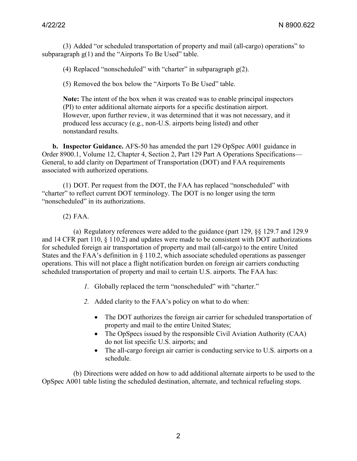(3) Added "or scheduled transportation of property and mail (all-cargo) operations" to subparagraph  $g(1)$  and the "Airports To Be Used" table.

(4) Replaced "nonscheduled" with "charter" in subparagraph  $g(2)$ .

(5) Removed the box below the "Airports To Be Used" table.

**Note:** The intent of the box when it was created was to enable principal inspectors (PI) to enter additional alternate airports for a specific destination airport. However, upon further review, it was determined that it was not necessary, and it produced less accuracy (e.g., non-U.S. airports being listed) and other nonstandard results.

**b. Inspector Guidance.** AFS-50 has amended the part 129 OpSpec A001 guidance in Order 8900.1, Volume 12, Chapter 4, Section 2, Part 129 Part A Operations Specifications— General, to add clarity on Department of Transportation (DOT) and FAA requirements associated with authorized operations.

(1) DOT. Per request from the DOT, the FAA has replaced "nonscheduled" with "charter" to reflect current DOT terminology. The DOT is no longer using the term "nonscheduled" in its authorizations.

#### (2) FAA.

(a) Regulatory references were added to the guidance (part 129, §§ 129.7 and 129.9 and 14 CFR part 110, § 110.2) and updates were made to be consistent with DOT authorizations for scheduled foreign air transportation of property and mail (all-cargo) to the entire United States and the FAA's definition in § 110.2, which associate scheduled operations as passenger operations. This will not place a flight notification burden on foreign air carriers conducting scheduled transportation of property and mail to certain U.S. airports. The FAA has:

- *1.* Globally replaced the term "nonscheduled" with "charter."
- *2.* Added clarity to the FAA's policy on what to do when:
	- The DOT authorizes the foreign air carrier for scheduled transportation of property and mail to the entire United States;
	- The OpSpecs issued by the responsible Civil Aviation Authority (CAA) do not list specific U.S. airports; and
	- The all-cargo foreign air carrier is conducting service to U.S. airports on a schedule.

(b) Directions were added on how to add additional alternate airports to be used to the OpSpec A001 table listing the scheduled destination, alternate, and technical refueling stops.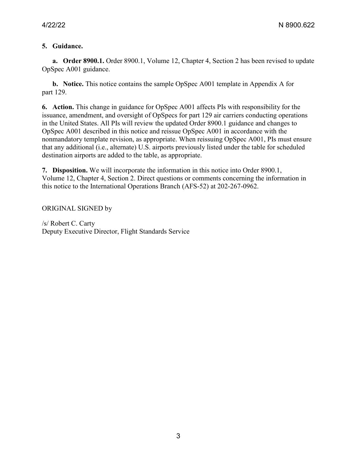### **5. Guidance.**

**a. Order 8900.1.** Order 8900.1, Volume 12, Chapter 4, Section 2 has been revised to update OpSpec A001 guidance.

**b. Notice.** This notice contains the sample OpSpec A001 template in Appendix A for part 129.

**6. Action.** This change in guidance for OpSpec A001 affects PIs with responsibility for the issuance, amendment, and oversight of OpSpecs for part 129 air carriers conducting operations in the United States. All PIs will review the updated Order 8900.1 guidance and changes to OpSpec A001 described in this notice and reissue OpSpec A001 in accordance with the nonmandatory template revision, as appropriate. When reissuing OpSpec A001, PIs must ensure that any additional (i.e., alternate) U.S. airports previously listed under the table for scheduled destination airports are added to the table, as appropriate.

**7. Disposition.** We will incorporate the information in this notice into Order 8900.1, Volume 12, Chapter 4, Section 2. Direct questions or comments concerning the information in this notice to the International Operations Branch (AFS-52) at 202-267-0962.

ORIGINAL SIGNED by

/s/ Robert C. Carty Deputy Executive Director, Flight Standards Service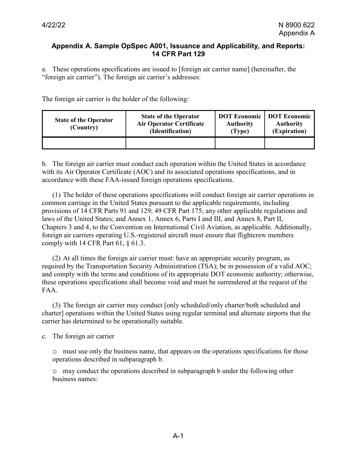#### **Appendix A. Sample OpSpec A001, Issuance and Applicability, and Reports: 14 CFR Part 129**

a. These operations specifications are issued to [foreign air carrier name] (hereinafter, the "foreign air carrier"). The foreign air carrier's addresses:

The foreign air carrier is the holder of the following:

| <b>State of the Operator</b><br>(Country) | <b>State of the Operator</b><br><b>Air Operator Certificate</b><br>(Identification) | <b>DOT Economic</b><br><b>Authority</b><br>(Type) | <b>DOT</b> Economic<br><b>Authority</b><br>(Expiration) |
|-------------------------------------------|-------------------------------------------------------------------------------------|---------------------------------------------------|---------------------------------------------------------|
|                                           |                                                                                     |                                                   |                                                         |

b. The foreign air carrier must conduct each operation within the United States in accordance with its Air Operator Certificate (AOC) and its associated operations specifications, and in accordance with these FAA-issued foreign operations specifications.

(1) The holder of these operations specifications will conduct foreign air carrier operations in common carriage in the United States pursuant to the applicable requirements, including provisions of 14 CFR Parts 91 and 129; 49 CFR Part 175; any other applicable regulations and laws of the United States; and Annex 1, Annex 6, Parts I and III, and Annex 8, Part II, Chapters 3 and 4, to the Convention on International Civil Aviation, as applicable. Additionally, foreign air carriers operating U.S.-registered aircraft must ensure that flightcrew members comply with 14 CFR Part 61,  $\S$  61.3.

(2) At all times the foreign air carrier must: have an appropriate security program, as required by the Transportation Security Administration (TSA); be in possession of a valid AOC; and comply with the terms and conditions of its appropriate DOT economic authority; otherwise, these operations specifications shall become void and must be surrendered at the request of the FAA.

(3) The foreign air carrier may conduct [only scheduled/only charter/both scheduled and charter] operations within the United States using regular terminal and alternate airports that the carrier has determined to be operationally suitable.

c. The foreign air carrier

o must use only the business name, that appears on the operations specifications for those operations described in subparagraph b.

o may conduct the operations described in subparagraph b under the following other business names: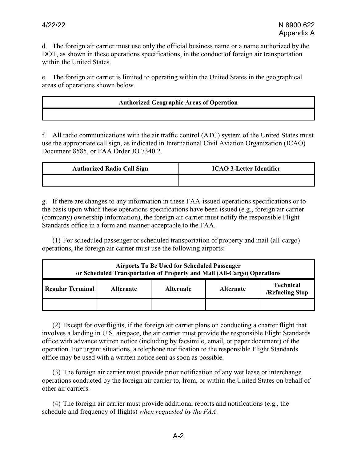d. The foreign air carrier must use only the official business name or a name authorized by the DOT, as shown in these operations specifications, in the conduct of foreign air transportation within the United States.

e. The foreign air carrier is limited to operating within the United States in the geographical areas of operations shown below.

#### **Authorized Geographic Areas of Operation**

f. All radio communications with the air traffic control (ATC) system of the United States must use the appropriate call sign, as indicated in International Civil Aviation Organization (ICAO) Document 8585, or FAA Order JO 7340.2.

| <b>Authorized Radio Call Sign</b> | <b>ICAO 3-Letter Identifier</b> |  |  |
|-----------------------------------|---------------------------------|--|--|
|                                   |                                 |  |  |

g. If there are changes to any information in these FAA-issued operations specifications or to the basis upon which these operations specifications have been issued (e.g., foreign air carrier (company) ownership information), the foreign air carrier must notify the responsible Flight Standards office in a form and manner acceptable to the FAA.

(1) For scheduled passenger or scheduled transportation of property and mail (all-cargo) operations, the foreign air carrier must use the following airports:

| <b>Airports To Be Used for Scheduled Passenger</b><br>or Scheduled Transportation of Property and Mail (All-Cargo) Operations |                  |                  |                  |                                     |  |  |
|-------------------------------------------------------------------------------------------------------------------------------|------------------|------------------|------------------|-------------------------------------|--|--|
| <b>Regular Terminal</b>                                                                                                       | <b>Alternate</b> | <b>Alternate</b> | <b>Alternate</b> | <b>Technical</b><br>/Refueling Stop |  |  |
|                                                                                                                               |                  |                  |                  |                                     |  |  |

(2) Except for overflights, if the foreign air carrier plans on conducting a charter flight that involves a landing in U.S. airspace, the air carrier must provide the responsible Flight Standards office with advance written notice (including by facsimile, email, or paper document) of the operation. For urgent situations, a telephone notification to the responsible Flight Standards office may be used with a written notice sent as soon as possible.

(3) The foreign air carrier must provide prior notification of any wet lease or interchange operations conducted by the foreign air carrier to, from, or within the United States on behalf of other air carriers.

(4) The foreign air carrier must provide additional reports and notifications (e.g., the schedule and frequency of flights) *when requested by the FAA*.